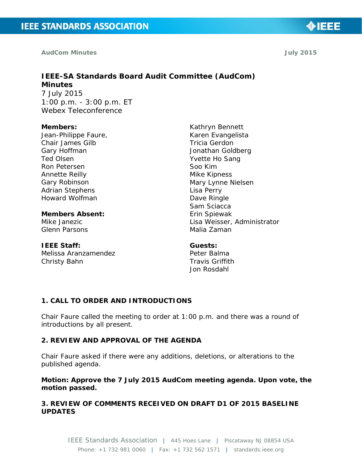**AudCom Minutes July 2015** 

# **IEEE-SA Standards Board Audit Committee (AudCom) Minutes**

7 July 2015 1:00 p.m. - 3:00 p.m. ET Webex Teleconference

#### **Members:**

Jean-Philippe Faure, Chair James Gilb Gary Hoffman Ted Olsen Ron Petersen Annette Reilly Gary Robinson Adrian Stephens Howard Wolfman

**Members Absent:**  Mike Janezic Glenn Parsons

#### **IEEE Staff:**

Melissa Aranzamendez Christy Bahn

Kathryn Bennett Karen Evangelista Tricia Gerdon Jonathan Goldberg Yvette Ho Sang Soo Kim Mike Kipness Mary Lynne Nielsen Lisa Perry Dave Ringle Sam Sciacca Erin Spiewak Lisa Weisser, Administrator Malia Zaman

#### **Guests:**

Peter Balma Travis Griffith Jon Rosdahl

# **1. CALL TO ORDER AND INTRODUCTIONS**

Chair Faure called the meeting to order at 1:00 p.m. and there was a round of introductions by all present.

#### **2. REVIEW AND APPROVAL OF THE AGENDA**

Chair Faure asked if there were any additions, deletions, or alterations to the published agenda.

**Motion: Approve the 7 July 2015 AudCom meeting agenda. Upon vote, the motion passed.**

### **3. REVIEW OF COMMENTS RECEIVED ON DRAFT D1 OF 2015 BASELINE UPDATES**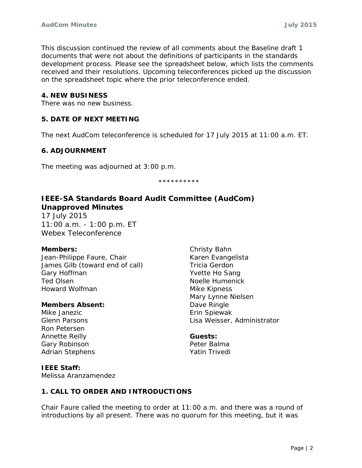This discussion continued the review of all comments about the Baseline draft 1 documents that were not about the definitions of participants in the standards development process. Please see the spreadsheet below, which lists the comments received and their resolutions. Upcoming teleconferences picked up the discussion on the spreadsheet topic where the prior teleconference ended.

#### **4. NEW BUSINESS**

There was no new business.

#### **5. DATE OF NEXT MEETING**

The next AudCom teleconference is scheduled for 17 July 2015 at 11:00 a.m. ET.

#### **6. ADJOURNMENT**

The meeting was adjourned at 3:00 p.m.

\*\*\*\*\*\*\*\*\*\*

# **IEEE-SA Standards Board Audit Committee (AudCom) Unapproved Minutes**

17 July 2015 11:00 a.m. - 1:00 p.m. ET Webex Teleconference

#### **Members:**

Jean-Philippe Faure, Chair James Gilb (toward end of call) Gary Hoffman Ted Olsen Howard Wolfman

#### **Members Absent:**

Mike Janezic Glenn Parsons Ron Petersen Annette Reilly Gary Robinson Adrian Stephens Christy Bahn Karen Evangelista Tricia Gerdon Yvette Ho Sang Noelle Humenick Mike Kipness Mary Lynne Nielsen Dave Ringle Erin Spiewak Lisa Weisser, Administrator

#### **Guests:**

Peter Balma Yatin Trivedi

# **IEEE Staff:**

Melissa Aranzamendez

# **1. CALL TO ORDER AND INTRODUCTIONS**

Chair Faure called the meeting to order at 11:00 a.m. and there was a round of introductions by all present. There was no quorum for this meeting, but it was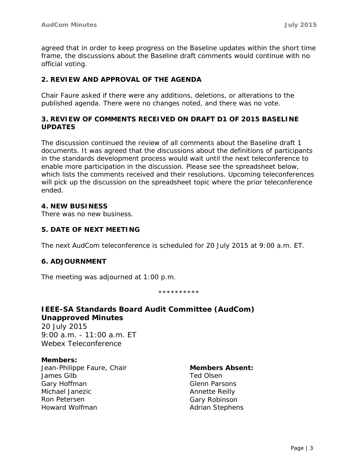agreed that in order to keep progress on the Baseline updates within the short time frame, the discussions about the Baseline draft comments would continue with no official voting.

### **2. REVIEW AND APPROVAL OF THE AGENDA**

Chair Faure asked if there were any additions, deletions, or alterations to the published agenda. There were no changes noted, and there was no vote.

#### **3. REVIEW OF COMMENTS RECEIVED ON DRAFT D1 OF 2015 BASELINE UPDATES**

The discussion continued the review of all comments about the Baseline draft 1 documents. It was agreed that the discussions about the definitions of participants in the standards development process would wait until the next teleconference to enable more participation in the discussion. Please see the spreadsheet below, which lists the comments received and their resolutions. Upcoming teleconferences will pick up the discussion on the spreadsheet topic where the prior teleconference ended.

#### **4. NEW BUSINESS**

There was no new business.

#### **5. DATE OF NEXT MEETING**

The next AudCom teleconference is scheduled for 20 July 2015 at 9:00 a.m. ET.

#### **6. ADJOURNMENT**

The meeting was adjourned at 1:00 p.m.

\*\*\*\*\*\*\*\*\*\*

# **IEEE-SA Standards Board Audit Committee (AudCom) Unapproved Minutes**

20 July 2015 9:00 a.m. - 11:00 a.m. ET Webex Teleconference

#### **Members:**

Jean-Philippe Faure, Chair James Gilb Gary Hoffman Michael Janezic Ron Petersen Howard Wolfman

#### **Members Absent:**

Ted Olsen Glenn Parsons Annette Reilly Gary Robinson Adrian Stephens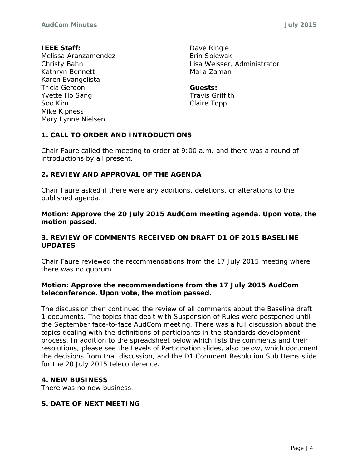#### **IEEE Staff:**

Melissa Aranzamendez Christy Bahn Kathryn Bennett Karen Evangelista Tricia Gerdon Yvette Ho Sang Soo Kim Mike Kipness Mary Lynne Nielsen

Dave Ringle Erin Spiewak Lisa Weisser, Administrator Malia Zaman

**Guests:** Travis Griffith Claire Topp

# **1. CALL TO ORDER AND INTRODUCTIONS**

Chair Faure called the meeting to order at 9:00 a.m. and there was a round of introductions by all present.

#### **2. REVIEW AND APPROVAL OF THE AGENDA**

Chair Faure asked if there were any additions, deletions, or alterations to the published agenda.

**Motion: Approve the 20 July 2015 AudCom meeting agenda. Upon vote, the motion passed.**

#### **3. REVIEW OF COMMENTS RECEIVED ON DRAFT D1 OF 2015 BASELINE UPDATES**

Chair Faure reviewed the recommendations from the 17 July 2015 meeting where there was no quorum.

#### **Motion: Approve the recommendations from the 17 July 2015 AudCom teleconference. Upon vote, the motion passed.**

The discussion then continued the review of all comments about the Baseline draft 1 documents. The topics that dealt with Suspension of Rules were postponed until the September face-to-face AudCom meeting. There was a full discussion about the topics dealing with the definitions of participants in the standards development process. In addition to the spreadsheet below which lists the comments and their resolutions, please see the Levels of Participation slides, also below, which document the decisions from that discussion, and the D1 Comment Resolution Sub Items slide for the 20 July 2015 teleconference.

#### **4. NEW BUSINESS**

There was no new business.

### **5. DATE OF NEXT MEETING**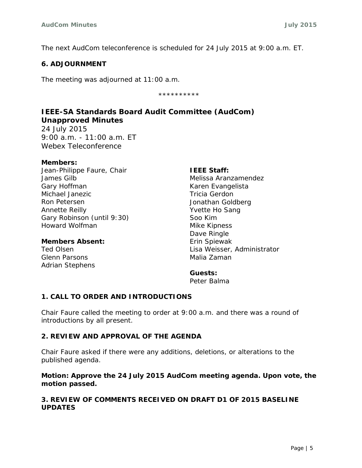The next AudCom teleconference is scheduled for 24 July 2015 at 9:00 a.m. ET.

#### **6. ADJOURNMENT**

The meeting was adjourned at 11:00 a.m.

\*\*\*\*\*\*\*\*\*\*

# **IEEE-SA Standards Board Audit Committee (AudCom) Unapproved Minutes**

24 July 2015 9:00 a.m. - 11:00 a.m. ET Webex Teleconference

#### **Members:**

Jean-Philippe Faure, Chair James Gilb Gary Hoffman Michael Janezic Ron Petersen Annette Reilly Gary Robinson (until 9:30) Howard Wolfman

#### **Members Absent:**

Ted Olsen Glenn Parsons Adrian Stephens **IEEE Staff:**

Melissa Aranzamendez Karen Evangelista Tricia Gerdon Jonathan Goldberg Yvette Ho Sang Soo Kim Mike Kipness Dave Ringle Erin Spiewak Lisa Weisser, Administrator Malia Zaman

**Guests:**  Peter Balma

# **1. CALL TO ORDER AND INTRODUCTIONS**

Chair Faure called the meeting to order at 9:00 a.m. and there was a round of introductions by all present.

# **2. REVIEW AND APPROVAL OF THE AGENDA**

Chair Faure asked if there were any additions, deletions, or alterations to the published agenda.

### **Motion: Approve the 24 July 2015 AudCom meeting agenda. Upon vote, the motion passed.**

# **3. REVIEW OF COMMENTS RECEIVED ON DRAFT D1 OF 2015 BASELINE UPDATES**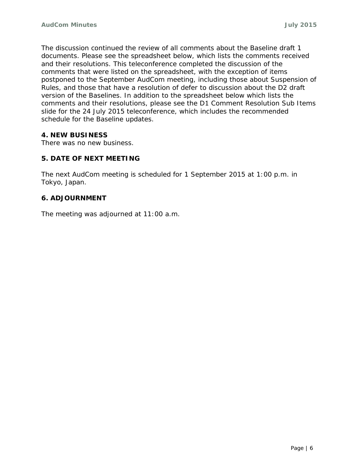The discussion continued the review of all comments about the Baseline draft 1 documents. Please see the spreadsheet below, which lists the comments received and their resolutions. This teleconference completed the discussion of the comments that were listed on the spreadsheet, with the exception of items postponed to the September AudCom meeting, including those about Suspension of Rules, and those that have a resolution of defer to discussion about the D2 draft version of the Baselines. In addition to the spreadsheet below which lists the comments and their resolutions, please see the D1 Comment Resolution Sub Items slide for the 24 July 2015 teleconference, which includes the recommended schedule for the Baseline updates.

# **4. NEW BUSINESS**

There was no new business.

### **5. DATE OF NEXT MEETING**

The next AudCom meeting is scheduled for 1 September 2015 at 1:00 p.m. in Tokyo, Japan.

#### **6. ADJOURNMENT**

The meeting was adjourned at 11:00 a.m.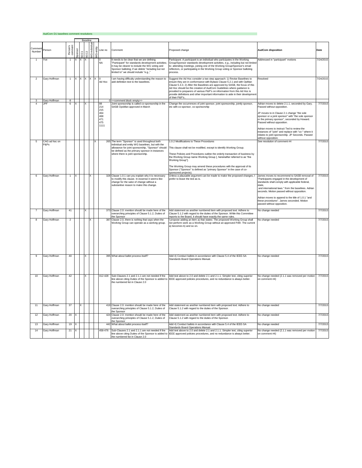|                  | AudCom D1 baselines comment resolutions |                      |                           |      |              |                      |           |                                                |                                                                                                                                                                                                                                                  |                                                                                                                                                                                                                                                                                                                                                                                                                                                                                               |                                                                                                                                                                                                                                                                                                                                                                                               |           |
|------------------|-----------------------------------------|----------------------|---------------------------|------|--------------|----------------------|-----------|------------------------------------------------|--------------------------------------------------------------------------------------------------------------------------------------------------------------------------------------------------------------------------------------------------|-----------------------------------------------------------------------------------------------------------------------------------------------------------------------------------------------------------------------------------------------------------------------------------------------------------------------------------------------------------------------------------------------------------------------------------------------------------------------------------------------|-----------------------------------------------------------------------------------------------------------------------------------------------------------------------------------------------------------------------------------------------------------------------------------------------------------------------------------------------------------------------------------------------|-----------|
|                  |                                         |                      |                           |      |              |                      |           |                                                |                                                                                                                                                                                                                                                  |                                                                                                                                                                                                                                                                                                                                                                                                                                                                                               |                                                                                                                                                                                                                                                                                                                                                                                               |           |
| Commer<br>Number | Person                                  | Person's<br>comment  | ponsor                    | SCC1 | SCC2         | <b>VG-individual</b> | VG-entity | Line no                                        | Comment                                                                                                                                                                                                                                          | Proposed change                                                                                                                                                                                                                                                                                                                                                                                                                                                                               | <b>AudCom disposition</b>                                                                                                                                                                                                                                                                                                                                                                     | Date      |
| 1                | Yve                                     |                      |                           |      |              |                      |           | <b>NA</b>                                      | t needs to be clear that we are defining<br>'Participant" for standards development activities;<br>it may be clearer to include the WG voting and<br>Sponsor balloting; if we delete "including but not<br>limited to" we should include "e.g.," | Participant: A participant is an individual who participates in the Working<br>Group/Sponsor standards development activities, e.g., including but not limited<br>to: attending meetings, joining one of the Working Group/Sponsor's email<br>reflectors, or participating in the Working Group voting or Sponsor balloting<br>process.                                                                                                                                                       | Addressed in "participant" motions                                                                                                                                                                                                                                                                                                                                                            | 7/24/2015 |
| $\overline{2}$   | Gary Hoffman                            | 1                    | x                         | x    | IX           | Ix                   | x         | Ad Hoc                                         | am having difficulty understanding the reason to<br>add definition text to the baselines.                                                                                                                                                        | Suggest the Ad Hoc consider a two step approach: 1) Revise Baselines to<br>ensure they are in conformance with Bylaws Clause 5.2.1 and with OpMan<br>Clause 5.3.3. 2) After the Baselines are approved by SASB, the focus of this<br>Ad Hoc should be the creation of AudCom Guidelines where guidance is<br>provided to preparers of various P&P's on information from this Ad Hoc is<br>provide definitions and other important information to aide in their development<br>of their P&P's. | Resolved                                                                                                                                                                                                                                                                                                                                                                                      | 7/24/2015 |
|                  | Gary Hoffman<br><b>JPF</b>              | 8<br>$6\overline{6}$ | $\boldsymbol{\mathsf{x}}$ |      | $\mathsf{x}$ |                      |           | 88                                             | < <comment block="" empty="">&gt;<br/>Joint sponsorship is called co-sponsorship in the</comment>                                                                                                                                                | Change the occurrences of joint sponsor, joint sponsorship, jointly sponsor,                                                                                                                                                                                                                                                                                                                                                                                                                  | Adrian moves to delete 2.1.1, seconded by Gary.                                                                                                                                                                                                                                                                                                                                               | 7/7/2015  |
|                  |                                         |                      |                           |      |              |                      |           | 214<br>215<br>464<br>468<br>471<br>475<br>1111 | SASB OpsMan approved in March                                                                                                                                                                                                                    | etc with co-sponsor, co-sponsorship                                                                                                                                                                                                                                                                                                                                                                                                                                                           | Passed without opposition.<br>JP moves to in Clause 2.1 change "the sole<br>sponsor or a joint sponsor" with "the sole sponsor<br>or the primary sponsor", seconded by Howard.<br>Passed without opposition.<br>Adrian moves to instruct Ted to review the<br>instances of "joint" and replace with "co-" where it<br>relates to joint sponsorship. JP Seconds. Passed<br>without opposition. |           |
| 5                | CAG ad hoc on<br>P&Ps                   |                      |                           |      |              |                      | X         |                                                | 265 The term "Sponsor" is used throughout both                                                                                                                                                                                                   | 1.0.2 Modifications to These Procedures                                                                                                                                                                                                                                                                                                                                                                                                                                                       | See resolution of comment #4                                                                                                                                                                                                                                                                                                                                                                  | 7/7/2015  |
|                  |                                         |                      |                           |      |              |                      |           |                                                | individual and entity WG baselines, but with the<br>allowance for joint sponsorship, "Sponsor" should                                                                                                                                            | This clause shall not be modified, except to identify Working Group.                                                                                                                                                                                                                                                                                                                                                                                                                          |                                                                                                                                                                                                                                                                                                                                                                                               |           |
|                  |                                         |                      |                           |      |              |                      |           |                                                | be defined as the primary sponsor in instances<br>where there is joint sponsorship.                                                                                                                                                              | These Policies and Procedures outline the orderly transaction of business by<br>the Working Group name Working Group [, hereinafter referred to as "the<br>Working Group"].                                                                                                                                                                                                                                                                                                                   |                                                                                                                                                                                                                                                                                                                                                                                               |           |
|                  |                                         |                      |                           |      |              |                      |           |                                                |                                                                                                                                                                                                                                                  | The Working Group may amend these procedures with the approval of its<br>Sponsor ("Sponsor" is defined as "primary Sponsor" in the case of co-<br>sponsored projects).                                                                                                                                                                                                                                                                                                                        |                                                                                                                                                                                                                                                                                                                                                                                               |           |
| 6                | Gary Hoffman                            | $\overline{1}$       | Ιx                        |      |              |                      |           |                                                | 328 Clause 1.0.1 can you explain why it is necessary<br>to modify this clause. In essense it seems like<br>change for the sake of change without a<br>substantive reason to make this change.                                                    | Unless a plausable argument can be made to make the proposed changes, I<br>prefer to leave the text as is.                                                                                                                                                                                                                                                                                                                                                                                    | James moves to recommend to SASB removal of<br>Participants engaged in the development of<br>standards shall comply with applicable federal,<br>state.<br>and international laws." from the baselines. Adrian<br>seconds. Motion passed without opposition.<br>Adrian moves to append to the title of 1.0.1 "and<br>these procedures". James seconded. Motion<br>passed without opposition.   | 7/7/2015  |
|                  | Gary Hoffman                            | 41                   |                           |      | Ιx           |                      |           | 373                                            | Clause 2.0: mention should be made here of the<br>overarching principles of Clause 5.1.2, Duties of<br>he Sponsor                                                                                                                                | Add statement as another numbered item with proposed text: Adhere to<br>Clause 5.1.2 with regard to the duties of the Sponsor. While this Committee<br>reports to the Board, it should have exactly the same rules.                                                                                                                                                                                                                                                                           | No change needed                                                                                                                                                                                                                                                                                                                                                                              | 7/7/2015  |
| 8                | Gary Hoffman                            | $\overline{2}$       |                           |      |              |                      |           | 387                                            | Clause 2.0, there is nothing that says when the<br>Working Group can operate as a working group.                                                                                                                                                 | I propose adding an item a) that states: The proposed Working Group shall<br>not perform work as a Working Group without an approved PAR. The current<br>a) becomes b) and so on.                                                                                                                                                                                                                                                                                                             | No change needed                                                                                                                                                                                                                                                                                                                                                                              | 7/7/2015  |
| 9                | Gary Hoffman                            | 40                   |                           |      | Ιx           |                      |           |                                                | 395 What about ballot process itself?                                                                                                                                                                                                            | Add 4) Conduct ballots in accordance with Clause 5.4 of the IEEE-SA<br>Standards Board Operations Manual.                                                                                                                                                                                                                                                                                                                                                                                     | No change needed                                                                                                                                                                                                                                                                                                                                                                              | 7/7/2015  |
| 10               | Gary Hoffman                            | 42                   |                           |      |              |                      |           | 412-428                                        | Sub-Clauses 2.1 and 2.1.1 are not needed if the<br>line above citing Duties of the Sponsor is added to<br>the numbered list in Clause 2.0                                                                                                        | Add text above to 2.0 and delete 2.1 and 2.1.1. Simpler text, citing superior<br>IEEE approved policies procedures, and no redundance is always better.                                                                                                                                                                                                                                                                                                                                       | No change needed (2.1.1 was removed per motion<br>on comment #4)                                                                                                                                                                                                                                                                                                                              | 7/7/2015  |
| 11               | Gary Hoffman                            | 37                   |                           |      |              |                      |           |                                                | 419 Clause 2.0: mention should be made here of the<br>overarching principles of Clause 5.1.2, Duties of<br>the Sponsor                                                                                                                           | Add statement as another numbered item with proposed text: Adhere to<br>Clause 5.1.2 with regard to the duties of the Sponsor.                                                                                                                                                                                                                                                                                                                                                                | No change needed                                                                                                                                                                                                                                                                                                                                                                              | 7/7/2015  |
| 12               | Gary Hoffman                            | 20                   | X                         |      |              |                      |           |                                                | 424 Clause 2.0: mention should be made here of the<br>overarching principles of Clause 5.1.2, Duties of<br>the Sponsor                                                                                                                           | Add statement as another numbered item with proposed text: Adhere to<br>Clause 5.1.2 with regard to the duties of the Sponsor.                                                                                                                                                                                                                                                                                                                                                                | No change needed                                                                                                                                                                                                                                                                                                                                                                              | 7/7/2015  |
| 13               | Gary Hoffman                            | 19                   |                           |      |              |                      |           |                                                | 442 What about ballot process itself?                                                                                                                                                                                                            | Add 4) Conduct ballots in accordance with Clause 5.4 of the IEEE-SA<br>Standards Board Operations Manual.                                                                                                                                                                                                                                                                                                                                                                                     | No change needed                                                                                                                                                                                                                                                                                                                                                                              | 7/7/2015  |
| 14               | Garv Hoffman                            | 21                   | X                         |      |              |                      |           | 458-476                                        | Sub-Clauses 2.1 and 2.1.1 are not needed if the<br>line above citing Duties of the Sponsor is added to<br>the numbered list in Clause 2.0                                                                                                        | Add text above to 2.0 and delete 2.1 and 2.1.1. Simpler text, citing superior<br>IEEE approved policies procedures, and no redundance is always better.                                                                                                                                                                                                                                                                                                                                       | No change needed (2.1.1 was removed per motion<br>on comment #4)                                                                                                                                                                                                                                                                                                                              | 7/7/2015  |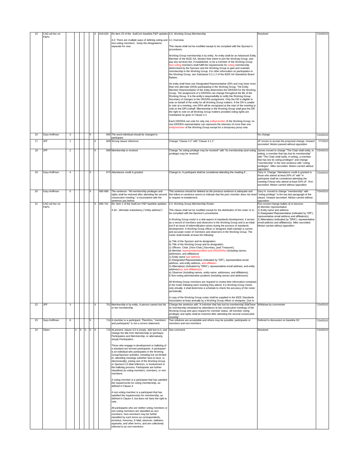| 15 | CAG ad hoc on         |                |                     |          |    | 619-620   | Re Item 23 of the AudCom baseline P&P updates 4.0. Working Group Membership                                                                                                                                                                                                                                                                                                                                                                                                                                                                                                                                                                                                                                                                                                                                                                                                                                                                                                                                                                                                                                                                                                                   |                                                                                                                                                                                                                                                                                                                                                                                                                                                                                                                                                                                                                                                                                                                                                                                                                                                                                                                                                                                                                                                                                                                                                                                                                                                                                                                                                                                                                                        | Resolved                                                                                                                                                                                                                                                                                                                            | 7/24/2015 |
|----|-----------------------|----------------|---------------------|----------|----|-----------|-----------------------------------------------------------------------------------------------------------------------------------------------------------------------------------------------------------------------------------------------------------------------------------------------------------------------------------------------------------------------------------------------------------------------------------------------------------------------------------------------------------------------------------------------------------------------------------------------------------------------------------------------------------------------------------------------------------------------------------------------------------------------------------------------------------------------------------------------------------------------------------------------------------------------------------------------------------------------------------------------------------------------------------------------------------------------------------------------------------------------------------------------------------------------------------------------|----------------------------------------------------------------------------------------------------------------------------------------------------------------------------------------------------------------------------------------------------------------------------------------------------------------------------------------------------------------------------------------------------------------------------------------------------------------------------------------------------------------------------------------------------------------------------------------------------------------------------------------------------------------------------------------------------------------------------------------------------------------------------------------------------------------------------------------------------------------------------------------------------------------------------------------------------------------------------------------------------------------------------------------------------------------------------------------------------------------------------------------------------------------------------------------------------------------------------------------------------------------------------------------------------------------------------------------------------------------------------------------------------------------------------------------|-------------------------------------------------------------------------------------------------------------------------------------------------------------------------------------------------------------------------------------------------------------------------------------------------------------------------------------|-----------|
|    | P&Ps                  |                |                     |          |    |           | 4.0: There are multiple ways of defining voting and 4.1 Overview                                                                                                                                                                                                                                                                                                                                                                                                                                                                                                                                                                                                                                                                                                                                                                                                                                                                                                                                                                                                                                                                                                                              |                                                                                                                                                                                                                                                                                                                                                                                                                                                                                                                                                                                                                                                                                                                                                                                                                                                                                                                                                                                                                                                                                                                                                                                                                                                                                                                                                                                                                                        |                                                                                                                                                                                                                                                                                                                                     |           |
|    |                       |                |                     |          |    |           | non-voting members. Keep the designations<br>separate for now.                                                                                                                                                                                                                                                                                                                                                                                                                                                                                                                                                                                                                                                                                                                                                                                                                                                                                                                                                                                                                                                                                                                                | This clause shall not be modified except to be compliant with the Sponsor's<br>procedures.                                                                                                                                                                                                                                                                                                                                                                                                                                                                                                                                                                                                                                                                                                                                                                                                                                                                                                                                                                                                                                                                                                                                                                                                                                                                                                                                             |                                                                                                                                                                                                                                                                                                                                     |           |
|    |                       |                |                     |          |    |           |                                                                                                                                                                                                                                                                                                                                                                                                                                                                                                                                                                                                                                                                                                                                                                                                                                                                                                                                                                                                                                                                                                                                                                                               | Working Group membership is by entity. An entity shall be an Advanced Entity<br>Member of the IEEE-SA, declare their intent to join the Working Group, and<br>pay any services fee, if established, to be a member of the Working Group.<br>Non-voting members shall fulfill the requirements for voting membership<br>determined by the Sponsor and the Working Group to gain and maintain<br>membership in the Working Group. For other information on participation in<br>the Working Group, see Subclause 5.2.1.2 of the IEEE-SA Standards Board<br>Bylaws.                                                                                                                                                                                                                                                                                                                                                                                                                                                                                                                                                                                                                                                                                                                                                                                                                                                                        |                                                                                                                                                                                                                                                                                                                                     |           |
|    |                       |                |                     |          |    |           |                                                                                                                                                                                                                                                                                                                                                                                                                                                                                                                                                                                                                                                                                                                                                                                                                                                                                                                                                                                                                                                                                                                                                                                               | An entity shall have one Designated Representative (DR) and may have more<br>than one alternate (DRA) participating in the Working Group. The Entity<br>Member Representative of the entity determines the DR/DRA for the Working<br>Group. The assignment of a DR/DRA can change throughout the life of the<br>Working Group. It is the entity's responsibility to notify the Working Group<br>Secretary of changes to the DR/DRA assignment. Only the DR is eligible to<br>vote on behalf of the entity for all Working Group matters. If the DR is unable<br>to vote at a meeting, one DRA will be recognized at the start of the meeting to<br>vote on the DR's behalf. Membership in the Working Group shall give the DR<br>the right to vote on all Working Group matters provided voting rights are<br>maintained as given in Clause 4.2.                                                                                                                                                                                                                                                                                                                                                                                                                                                                                                                                                                                       |                                                                                                                                                                                                                                                                                                                                     |           |
|    |                       |                |                     |          |    |           |                                                                                                                                                                                                                                                                                                                                                                                                                                                                                                                                                                                                                                                                                                                                                                                                                                                                                                                                                                                                                                                                                                                                                                                               | Each DR/DRA can vote for only one entitymember of the Working Group; no<br>one DR/DRA representative can represent the interests of more than one<br>entitymember of the Working Group except for a temporary proxy vote.                                                                                                                                                                                                                                                                                                                                                                                                                                                                                                                                                                                                                                                                                                                                                                                                                                                                                                                                                                                                                                                                                                                                                                                                              |                                                                                                                                                                                                                                                                                                                                     |           |
| 16 | Gary Hoffman          | 3              |                     | $\times$ |    |           | 656 The word individual should be changed to                                                                                                                                                                                                                                                                                                                                                                                                                                                                                                                                                                                                                                                                                                                                                                                                                                                                                                                                                                                                                                                                                                                                                  |                                                                                                                                                                                                                                                                                                                                                                                                                                                                                                                                                                                                                                                                                                                                                                                                                                                                                                                                                                                                                                                                                                                                                                                                                                                                                                                                                                                                                                        | No change                                                                                                                                                                                                                                                                                                                           | 7/24/2015 |
| 17 | <b>JPF</b>            | 1              |                     |          | X. |           | participant<br>669 Wrong clause reference                                                                                                                                                                                                                                                                                                                                                                                                                                                                                                                                                                                                                                                                                                                                                                                                                                                                                                                                                                                                                                                                                                                                                     | Change "Clause 4.2" with "Clause 4.1.1"                                                                                                                                                                                                                                                                                                                                                                                                                                                                                                                                                                                                                                                                                                                                                                                                                                                                                                                                                                                                                                                                                                                                                                                                                                                                                                                                                                                                | JP moves to accept the proposed change. Howard<br>seconded. Motion passed without opposition                                                                                                                                                                                                                                        | 7/7/2015  |
| 18 | <b>JPF</b>            | $\overline{2}$ |                     |          | x  |           | 699 Membership is revoked                                                                                                                                                                                                                                                                                                                                                                                                                                                                                                                                                                                                                                                                                                                                                                                                                                                                                                                                                                                                                                                                                                                                                                     | Change "its voting privilege may be revoked" with "its membership (and voting<br>privilege) may be revoked"                                                                                                                                                                                                                                                                                                                                                                                                                                                                                                                                                                                                                                                                                                                                                                                                                                                                                                                                                                                                                                                                                                                                                                                                                                                                                                                            | James moved to change "The Chair shall notify, in<br>writing, a member that has lost its membership"<br>with "The Chair shall notify, in writing, a member<br>that has lost its voting privileges" and change<br>"membership" in the next sentence with "voting<br>privileges". Mike seconded. Motion carried without<br>opposition | 7/24/2015 |
| 19 | Gary Hoffman          | $\overline{4}$ |                     | ΙX       |    |           | 673 Attendance credit is granted                                                                                                                                                                                                                                                                                                                                                                                                                                                                                                                                                                                                                                                                                                                                                                                                                                                                                                                                                                                                                                                                                                                                                              | Change to: A participant shall be considered attending the meeting if                                                                                                                                                                                                                                                                                                                                                                                                                                                                                                                                                                                                                                                                                                                                                                                                                                                                                                                                                                                                                                                                                                                                                                                                                                                                                                                                                                  | Gary H. Change "Attendance credit is granted to<br>those who attend at least 50% of" with "A<br>participant shall be considered attending the<br>meeting if those who attend at least 50% of". Ron<br>seconded. Motion carried without opposition                                                                                   | 7/24/2015 |
| 20 | Gary Hoffman          | 5              |                     | X        |    | 685-686   | The sentence: "All membership privileges and<br>rights shall be restored after attending the second<br>consecutive meeting." is inconsistent with the<br>sentence just before.                                                                                                                                                                                                                                                                                                                                                                                                                                                                                                                                                                                                                                                                                                                                                                                                                                                                                                                                                                                                                | This sentence should be deleted as the previous sentence is adequate and<br>this follow on sentence seems to indicate that the prior member does not need<br>to request re-instatement.                                                                                                                                                                                                                                                                                                                                                                                                                                                                                                                                                                                                                                                                                                                                                                                                                                                                                                                                                                                                                                                                                                                                                                                                                                                | Gary H. moved to change "membership" with<br>'voting privilege" in the two last paragragh of the<br>clause. Howard seconded. Motion carried without<br>opposition                                                                                                                                                                   | 7/24/2015 |
| 21 | CAG ad hoc on<br>P&Ps |                |                     |          |    | X 695-701 | Re: Item 1 of the AudCom P&P baseline updates<br>4.3d - eliminate redundancy ("entity address")                                                                                                                                                                                                                                                                                                                                                                                                                                                                                                                                                                                                                                                                                                                                                                                                                                                                                                                                                                                                                                                                                               | 4.3. Working Group Membership Roster<br>This clause shall not be modified except for the distribution of the roster or to<br>be compliant with the Sponsor's procedures.                                                                                                                                                                                                                                                                                                                                                                                                                                                                                                                                                                                                                                                                                                                                                                                                                                                                                                                                                                                                                                                                                                                                                                                                                                                               | Ron moved change bullets d) to become<br>d) Member representative<br>1) Entity name and address<br>2) Designated Representative (indicated by "DR"),                                                                                                                                                                                | 7/24/2015 |
|    |                       |                |                     |          |    |           |                                                                                                                                                                                                                                                                                                                                                                                                                                                                                                                                                                                                                                                                                                                                                                                                                                                                                                                                                                                                                                                                                                                                                                                               | A Working Group roster is a vital aspect of standards development. It serves<br>as a record of members and observers in the Working Group and is an initial<br>tool if an issue of indemnification arises during the process of standards<br>development. A Working Group officer or designee shall maintain a current<br>and accurate roster of members and observers in the Working Group. The<br>roster shall include at least the following:<br>a) Title of the Sponsor and its designation.<br>b) Title of the Working Group and its designation.<br>c) Officers: Chair, [Vice-Chair,] Secretary, [and Treasurer].<br>d) Member representativesentities and DRs/DRAss-(including names,<br>addresses, and affiliations)<br>1) Entity name and address<br>2) Designated Representative (indicated by "DR"), representative email<br>address, and entity address, and affiliation.<br>3) Alternate(s) (indicated by "DRA"), representative email address, and entity<br>address(es), and affiliation(s).<br>e) Observer (Including names, entity name, addresses, and affiliations).<br>f) Non-voting administrative positions (including names and addresses).<br>All Working Group members are required to review their information contained<br>in the roster following each meeting they attend. If a Working Group meets<br>only virtually, it shall determine a schedule to check the accuracy of the roster<br>periodically. | representative email address and affiliation(s).<br>3) Alternate(s) (indicated by "DRA"), representative<br>email address and affiliation(s). Mike seconded.<br>Motion carried without opposition                                                                                                                                   |           |
| 22 | <b>JPF</b>            | 3              |                     |          |    |           | 701 Membership is by entity. A person cannot lost his                                                                                                                                                                                                                                                                                                                                                                                                                                                                                                                                                                                                                                                                                                                                                                                                                                                                                                                                                                                                                                                                                                                                         | A copy of the Working Group roster shall be supplied to the IEEE Standards<br>Association at least annually by a Working Group officer or designee. Due to<br>Change the sentence with "A member that has lost its membership shall have                                                                                                                                                                                                                                                                                                                                                                                                                                                                                                                                                                                                                                                                                                                                                                                                                                                                                                                                                                                                                                                                                                                                                                                               | Withdraw by commenter                                                                                                                                                                                                                                                                                                               | 7/24/2015 |
|    |                       |                |                     |          |    |           | or her membership.                                                                                                                                                                                                                                                                                                                                                                                                                                                                                                                                                                                                                                                                                                                                                                                                                                                                                                                                                                                                                                                                                                                                                                            | its membership reinstated by attendance at two consecutive meetings of the<br>Working Group and upon request for member status. All member voting<br>privileges and rights shall be restored after attending the second consecutive<br>meeting"                                                                                                                                                                                                                                                                                                                                                                                                                                                                                                                                                                                                                                                                                                                                                                                                                                                                                                                                                                                                                                                                                                                                                                                        |                                                                                                                                                                                                                                                                                                                                     |           |
| 23 | Gary Hoffman          | 6              |                     | X        |    |           | 714 A member is a participant. Therefore, "members<br>and participants" is not a correct statement.                                                                                                                                                                                                                                                                                                                                                                                                                                                                                                                                                                                                                                                                                                                                                                                                                                                                                                                                                                                                                                                                                           | Two solutions are acceptable and others may be possible: participants or<br>members and non-members                                                                                                                                                                                                                                                                                                                                                                                                                                                                                                                                                                                                                                                                                                                                                                                                                                                                                                                                                                                                                                                                                                                                                                                                                                                                                                                                    | Defered to discussion on baseline D2                                                                                                                                                                                                                                                                                                | 7/24/2015 |
| 24 | Olsen                 |                | $X$ $X$ $X$ $X$ $X$ |          |    |           | 715 At present, clause 4.0 is empty. Add text to it, and See comment.<br>change the title from Membership to (perhaps)<br>Participation and Membership, or alternatively,<br>simply Participation.<br>Those who engage in development or balloting of<br>a standard are termed participants. A participant<br>is an individual who participates in the Working<br>Group/Sponsor activities, including but not limited<br>to: attending meetings (whether face-to-face, or<br>electronically), joining one of the Working Group<br>or Sponsor's E-Mail reflectors, or involvement in<br>the balloting process. Participants are further<br>classifired as voting members, members, or non-<br>members.<br>A voting member is a participant that has satisfied<br>the requirements for voting membership, as<br>defined in Clause 4.<br>A non-voting member is a participant that has<br>satisfied the requirements for membership, as<br>defined in Clause 4, but does not have the right to<br>vote.<br>All participants who are neither voting members or<br>non-voting members are classified as non-<br>members. Non-members may be further<br>classified by such terms as correspondents, |                                                                                                                                                                                                                                                                                                                                                                                                                                                                                                                                                                                                                                                                                                                                                                                                                                                                                                                                                                                                                                                                                                                                                                                                                                                                                                                                                                                                                                        | Resolved                                                                                                                                                                                                                                                                                                                            | 7/24/2015 |
|    |                       |                |                     |          |    |           | emeritus, honorary, E-Mail, observer, balloters,<br>aspirants, and other terms, and are collectively<br>referred to as non-members.                                                                                                                                                                                                                                                                                                                                                                                                                                                                                                                                                                                                                                                                                                                                                                                                                                                                                                                                                                                                                                                           |                                                                                                                                                                                                                                                                                                                                                                                                                                                                                                                                                                                                                                                                                                                                                                                                                                                                                                                                                                                                                                                                                                                                                                                                                                                                                                                                                                                                                                        |                                                                                                                                                                                                                                                                                                                                     |           |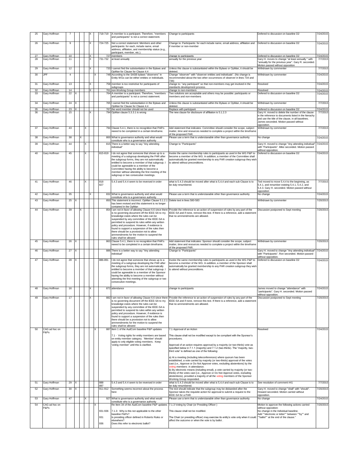| 25       | Gary Hoffman                 |          |          |   |   |               |   | 718-719    | A member is a participant. Therefore, "members<br>and participants" is not a correct statement.                                                                                                                                                                                                                                                                                                                        | Change to participants                                                                                                                                                                                                                                                                                                                                                                                                                                                                                                                      | Defered to discussion on baseline D2                                                                                                                                                                                   | 7/24/2015              |
|----------|------------------------------|----------|----------|---|---|---------------|---|------------|------------------------------------------------------------------------------------------------------------------------------------------------------------------------------------------------------------------------------------------------------------------------------------------------------------------------------------------------------------------------------------------------------------------------|---------------------------------------------------------------------------------------------------------------------------------------------------------------------------------------------------------------------------------------------------------------------------------------------------------------------------------------------------------------------------------------------------------------------------------------------------------------------------------------------------------------------------------------------|------------------------------------------------------------------------------------------------------------------------------------------------------------------------------------------------------------------------|------------------------|
| 26       | Gary Hoffman                 | 9        |          |   |   | X             |   | 724-725    | Not a correct statement: Members and other                                                                                                                                                                                                                                                                                                                                                                             | Change to: Participants: for each include name, email address, affiliation and                                                                                                                                                                                                                                                                                                                                                                                                                                                              | Defered to discussion on baseline D2                                                                                                                                                                                   | 7/24/2015              |
|          |                              |          |          |   |   |               |   |            | participants: for each, include name, email                                                                                                                                                                                                                                                                                                                                                                            | if member or non-member                                                                                                                                                                                                                                                                                                                                                                                                                                                                                                                     |                                                                                                                                                                                                                        |                        |
|          |                              |          |          |   |   |               |   |            | address, affiliation, and membership status (e.g.,<br>participant, member, etc.).                                                                                                                                                                                                                                                                                                                                      |                                                                                                                                                                                                                                                                                                                                                                                                                                                                                                                                             |                                                                                                                                                                                                                        |                        |
| 27<br>28 | Gary Hoffman<br>Gary Hoffman | 10<br>11 |          |   |   | $\times$<br>X |   | 731-732    | 727 members<br>at least annually                                                                                                                                                                                                                                                                                                                                                                                       | change to participants<br>annually for the previous year                                                                                                                                                                                                                                                                                                                                                                                                                                                                                    | Defered to discussion on baseline D2<br>Gary H. moves to change "at least annually " with<br>"annually for the previous year". Gary R. seconded.                                                                       | 7/24/2015<br>7/7/2015  |
| 29       | Gary Hoffman                 | 12       |          |   |   | X             |   |            | 733 I cannot find the substantiation in the Bylaws and                                                                                                                                                                                                                                                                                                                                                                 | Unless this clause is substantiated within the Bylaws or OpMan, it should be                                                                                                                                                                                                                                                                                                                                                                                                                                                                | Motion passed without opposition<br>Withdrawn by commenter                                                                                                                                                             | 7/7/2015               |
| 30       | <b>JPF</b>                   | 4        |          |   |   |               |   |            | OpMan for Clause for Clause 4.4<br>748 According to the SASB bylaws "observers" in                                                                                                                                                                                                                                                                                                                                     | deleted.<br>Change "observer" with "observer entities and individuals". (No change is                                                                                                                                                                                                                                                                                                                                                                                                                                                       | Withdrawn by commenter                                                                                                                                                                                                 | 7/24/2015              |
|          |                              |          |          |   |   |               |   |            | Entity WGs can be either entities or individuals.                                                                                                                                                                                                                                                                                                                                                                      | recommended about the two other occurrences of observer in lines 734 and<br>736)                                                                                                                                                                                                                                                                                                                                                                                                                                                            |                                                                                                                                                                                                                        |                        |
| 31       | Gary Hoffman                 | 13       |          |   |   | X             |   |            | 758 member is too restrictive for participants of<br>subgroups                                                                                                                                                                                                                                                                                                                                                         | change to: "any participant" so that non-members may get involved in the<br>standards development process.                                                                                                                                                                                                                                                                                                                                                                                                                                  | Resolved                                                                                                                                                                                                               | 7/24/2015              |
| 32<br>33 | Gary Hoffman                 | 14<br>22 | x        |   |   |               |   |            | 761 non-Working Group members<br>764 A member is a participant. Therefore, "members                                                                                                                                                                                                                                                                                                                                    | change to non-members                                                                                                                                                                                                                                                                                                                                                                                                                                                                                                                       | Resolved<br>Defered to discussion on baseline D2                                                                                                                                                                       | 7/24/2015<br>7/24/2015 |
|          | Gary Hoffman                 |          |          |   |   |               |   |            | and participants" is not a correct statement.                                                                                                                                                                                                                                                                                                                                                                          | Two solutions are acceptable and others may be possible: participants or<br>members and non-members                                                                                                                                                                                                                                                                                                                                                                                                                                         |                                                                                                                                                                                                                        |                        |
| 34       | Gary Hoffman                 | 24       | $\times$ |   |   |               |   |            | 765 I cannot find the substantiation in the Bylaws and<br>OpMan for Clause for Clause 4.4                                                                                                                                                                                                                                                                                                                              | Unless this clause is substantiated within the Bylaws or OpMan, it should be<br>deleted.                                                                                                                                                                                                                                                                                                                                                                                                                                                    | Withdrawn by commenter                                                                                                                                                                                                 | 7/7/2015               |
| 35       | Gary Hoffman                 | 23       | Ιx       |   |   |               |   |            | 767 the word member should not be used                                                                                                                                                                                                                                                                                                                                                                                 | Replace with participant                                                                                                                                                                                                                                                                                                                                                                                                                                                                                                                    | Defered to discussion on baseline D2                                                                                                                                                                                   | 7/24/2015              |
| 36       | Gary Hoffman                 | 15       |          |   |   | X             |   |            | 794 OpMan clause 5.3.3.1 is wrong                                                                                                                                                                                                                                                                                                                                                                                      | The new clause for disclosure of affiliation is 5.1.2.3                                                                                                                                                                                                                                                                                                                                                                                                                                                                                     | Gary H. moved to delete the number of the clause<br>in the reference to documents listed in the hierachy<br>and use the title of the clause, in all baselines.<br>James seconded. Motion passed without<br>opposition. | 7/7/2015               |
| 37       | Gary Hoffman                 | 43       |          |   | x |               |   |            | 794 Clause 5.4.1, there is no recognition that PAR's<br>neeed to be completed in a certain timeframe.                                                                                                                                                                                                                                                                                                                  | Add statement that indicates: Committee should consider the scope, subject<br>matter, time and resources needed to complete a project within the timeframe                                                                                                                                                                                                                                                                                                                                                                                  | Withdrawn by commenter                                                                                                                                                                                                 | 7/7/2015               |
| 38       | Gary Hoffman                 | 38       |          |   |   |               |   |            | 800 What is governance authority and what would                                                                                                                                                                                                                                                                                                                                                                        | of the proposed PAR<br>Please use a term that is understanable other than governance authority                                                                                                                                                                                                                                                                                                                                                                                                                                              | No change                                                                                                                                                                                                              | 7/24/2015              |
| 39       | Gary Hoffman                 | 44       |          |   | x |               |   | 815        | constitute who is a governance authority<br>There is a better way to say "Any attending                                                                                                                                                                                                                                                                                                                                | Change to "Participants"                                                                                                                                                                                                                                                                                                                                                                                                                                                                                                                    | Gary H. moved to change "Any attending individual                                                                                                                                                                      | 7/24/2015              |
|          |                              |          |          |   |   |               |   |            | individual                                                                                                                                                                                                                                                                                                                                                                                                             |                                                                                                                                                                                                                                                                                                                                                                                                                                                                                                                                             | with "Participants". Mike seconded. Motion passed<br>without opposition.                                                                                                                                               |                        |
| 40       | Gary Hoffman                 | 45       |          |   | x |               |   | 815-819    | I do not agree that someone that shows up to a<br>meeting of a subgroup developing the PAR after<br>the subgroup forms, they are not automatically<br>entitled to become a member of that subgroup. I<br>could be agreeable to a member of the<br>Committee having the ability to become a<br>member without attending the first meeting of the                                                                        | Invoke the same membership rules to participants as used in the WG P&P to<br>become a member of the WG. In addition, a member of the Committee shall<br>automatically be granted membership to any PAR creation subgroup they wish<br>to attend without preconditions.                                                                                                                                                                                                                                                                      | Defered to discussion on baseline D2                                                                                                                                                                                   | 7/24/2015              |
|          |                              | 46       |          |   |   |               |   |            | subgroup or two consecutive meetings.                                                                                                                                                                                                                                                                                                                                                                                  | what is 5.4.3 should be moved after what is 5,4,4 and each sub-Clause is to                                                                                                                                                                                                                                                                                                                                                                                                                                                                 |                                                                                                                                                                                                                        | 7/7/2015               |
| 41       | Gary Hoffman                 |          |          |   | X |               |   | 818<br>827 | 5.4.3 and 5.4.4 seem to be reversed in order                                                                                                                                                                                                                                                                                                                                                                           | be duly renumbered.                                                                                                                                                                                                                                                                                                                                                                                                                                                                                                                         | Ted moved to move 5.4.4 to the beginning, as<br>5.4.1, and renumber existing 5.4.1, 5.4.2, and<br>5.4.3. Gary H. seconded. Motion passed without<br>opposition                                                         |                        |
| 42       | Gary Hoffman                 | 35       |          |   |   | X             |   |            | 832 What is governance authority and what would<br>constitute who is a governance authority                                                                                                                                                                                                                                                                                                                            | Please use a term that is understanable other than governance authority                                                                                                                                                                                                                                                                                                                                                                                                                                                                     | No change                                                                                                                                                                                                              | 7/24/2015              |
| 43       | Gary Hoffman                 | 25       |          |   |   |               |   |            | 850 This statement is incorrect. OpMan Clause 5.1.2.1<br>has been revised and this statement is no longer                                                                                                                                                                                                                                                                                                              | Delete text in lines 580-583                                                                                                                                                                                                                                                                                                                                                                                                                                                                                                                | Withdrawn by commenter                                                                                                                                                                                                 | 7/20/2015              |
| 44       | Gary Hoffman                 | 39       |          | X |   |               |   |            | contained in the OpMan<br>854 I am not in favor of allowing Clause 6.6 since there                                                                                                                                                                                                                                                                                                                                     | Provide the reference to an action of suspension of rules by any part of the                                                                                                                                                                                                                                                                                                                                                                                                                                                                | Discussion postponed to Sept meeting                                                                                                                                                                                   | 7/20/2015              |
|          |                              |          |          |   |   |               |   |            | is no governing document off the IEEE-SA to my<br>knowledge exists where the rules can be<br>suspended by any committee of the IEEE-SA is<br>permitted to suspend its rules within any written<br>policy and procedure. However, if evidence is<br>found to support a suspension of the rules then<br>there should be a proviosion not to allow<br>ammendments for the motion to suspend the<br>rules shall be allowed | IEEE-SA and if none, remove this text. If there is a reference, add a statement<br>that no ammendments are allowed.                                                                                                                                                                                                                                                                                                                                                                                                                         |                                                                                                                                                                                                                        |                        |
| 45       | Gary Hoffman                 | 26       | X        |   |   |               |   |            | 863 Clause 5.4.1, there is no recognition that PAR's<br>neeed to be completed in a certain timeframe.                                                                                                                                                                                                                                                                                                                  | Add statement that indicates: Sponsor should consider the scope, subject<br>matter, time and resources needed to complete a project within the timeframe                                                                                                                                                                                                                                                                                                                                                                                    | Withdrawn by commenter                                                                                                                                                                                                 | 7/20/2015              |
| 46       | Gary Hoffman                 | 27       | IX       |   |   |               |   |            | 886 There is a better way to say "Any attending                                                                                                                                                                                                                                                                                                                                                                        | of the proposed PAR.<br>Change to "Participants"                                                                                                                                                                                                                                                                                                                                                                                                                                                                                            | Gary H. moved to change "Any attending individual"                                                                                                                                                                     | 7/24/2015              |
|          |                              |          |          |   |   |               |   |            | individual"                                                                                                                                                                                                                                                                                                                                                                                                            |                                                                                                                                                                                                                                                                                                                                                                                                                                                                                                                                             | with "Participants". Ron seconded. Motion passed<br>without opposition.                                                                                                                                                |                        |
| 47       | Gary Hoffman                 | 28 X     |          |   |   |               |   | 886-891    | I do not agree that someone that shows up to a<br>meeting of a subgroup developing the PAR after<br>the subgroup forms, they are not automatically<br>entitled to become a member of that subgroup. I<br>could be agreeable to a member of the Sponsor<br>having the ability to become a member without<br>attending the first meeting of the subgroup or two<br>consecutive meetings.                                 | Invoke the same membership rules to participants as used in the WG P&P to Defered to discussion on baseline D2<br>become a member of the WG. In addition, a member of the Sponsor shall<br>automatically be granted membership to any PAR creation subgroup they wish<br>to attend without preconditions.                                                                                                                                                                                                                                   |                                                                                                                                                                                                                        | 7/24/2015              |
| 48       | Gary Hoffman                 | 16       |          |   |   | X             |   |            | 872 attendance                                                                                                                                                                                                                                                                                                                                                                                                         | change to participants                                                                                                                                                                                                                                                                                                                                                                                                                                                                                                                      | James moved to change "attendance" with<br>"participants". Gary H. seconded. Motion passed                                                                                                                             | 7/24/2015              |
|          | Gary Hoffman                 | 17       |          |   |   |               |   |            | is no governing document off the IEEE-SA to my<br>knowledge exists where the rules can be<br>suspended by any committee of the IEEE-SA is<br>permitted to suspend its rules within any written<br>policy and procedure. However, if evidence is<br>found to support a suspension of the rules then<br>there should be a proviosion not to allow<br>ammendments for the motion to suspend the<br>rules shall be allowed | I am not in favor of allowing Clause 6.6 since there Provide the reference to an action of suspension of rules by any part of the<br>IEEE-SA and if none, remove this text. If there is a reference, add a statement<br>that no ammendments are allowed.                                                                                                                                                                                                                                                                                    | without opposition.<br>Discussion postponed to Sept meeting                                                                                                                                                            | 7/20/2015              |
| 50       | CAG ad hoc on<br>P&Ps        |          |          |   |   |               | X |            | 887 Item 1 of the AudCom baseline P&P updates                                                                                                                                                                                                                                                                                                                                                                          | 7.1 Approval of an Action                                                                                                                                                                                                                                                                                                                                                                                                                                                                                                                   | Resolved                                                                                                                                                                                                               | 7/24/2015              |
|          |                              |          |          |   |   |               |   |            | 7.1 - Voting rights for entity members are based<br>on entity member category. 'Member' should                                                                                                                                                                                                                                                                                                                         | This clause shall not be modified except to be compliant with the Sponsor's<br>procedures.                                                                                                                                                                                                                                                                                                                                                                                                                                                  |                                                                                                                                                                                                                        |                        |
|          |                              |          |          |   |   |               |   |            | apply to only eligible voting members. Keep<br>'voting member' until this is clarified.                                                                                                                                                                                                                                                                                                                                | Approval of an action requires approval by a majority (or two-thirds) vote as<br>specified below in 7.1.1 (majority) and 7.1.2 (two-thirds). The "majority, two-<br>third vote" is defined as one of the following:                                                                                                                                                                                                                                                                                                                         |                                                                                                                                                                                                                        |                        |
|          |                              |          |          |   |   |               |   |            |                                                                                                                                                                                                                                                                                                                                                                                                                        | a) At a meeting (including teleconferences) where quorum has been<br>established, a vote carried by majority (or two-thirds) approval of the votes<br>cast (i.e., Approve or Do Not Approve votes, excluding abstentions) by the<br>voting members in attendance.<br>b) By electronic means (including email), a vote carried by majority (or two-<br>thirds) of the votes cast (i.e., Approve or Do Not Approve votes, excluding<br>abstentions), provided a majority of all the voting members of the Sponsor<br>Working Group responded. |                                                                                                                                                                                                                        |                        |
| 51       | Gary Hoffman                 | 29       | X        |   |   |               |   | 888<br>897 | 5.4.3 and 5.4.4 seem to be reversed in order                                                                                                                                                                                                                                                                                                                                                                           | what is 5.4.3 should be moved after what is 5,4,4 and each sub-Clause is to<br>be duly renumbered.                                                                                                                                                                                                                                                                                                                                                                                                                                          | See resolution of comment #41                                                                                                                                                                                          | 7/7/2015               |
| 52       | Gary Hoffman                 | 30       | $\times$ |   |   |               |   | 911-912    | Something seems incorrect about the process<br>here                                                                                                                                                                                                                                                                                                                                                                    | The text should indicate that the subgroup may be disbanded after the<br>Sponsor takes the requisite action for approval to submit a request to the                                                                                                                                                                                                                                                                                                                                                                                         | Gary H. moved to change "shall" with "should".<br>Howard seconded. Motion carried without                                                                                                                              | 7/20/2015              |
| 53       | Gary Hoffman                 | 47       |          |   | x |               |   |            | 927 What is governance authority and what would                                                                                                                                                                                                                                                                                                                                                                        | IEEE-SA for a PAR.<br>Please use a term that is understanable other than governance authority                                                                                                                                                                                                                                                                                                                                                                                                                                               | opposition.<br>No change                                                                                                                                                                                               | 7/24/2015              |
| 54       | CAG ad hoc on                |          |          |   |   |               | x |            | constitute who is a governance authority<br>Re Item 34 of the AudCom baseline P&P updates                                                                                                                                                                                                                                                                                                                              | 7.1.3 Voting by Chair (or Presiding Officer)                                                                                                                                                                                                                                                                                                                                                                                                                                                                                                | Motion to approve the following actions carried                                                                                                                                                                        | 7/20/2015              |
|          | P&Ps                         |          |          |   |   |               |   | 931-936    | 7.1.3: Why is this not applicable to the other                                                                                                                                                                                                                                                                                                                                                                         | This clause shall not be modified.                                                                                                                                                                                                                                                                                                                                                                                                                                                                                                          | without opposition:<br>No change in the Individual baseline.                                                                                                                                                           |                        |
|          |                              |          |          |   |   |               |   | 931        | baseline P&Ps?<br>Is presiding officer defined in Roberts Rules or                                                                                                                                                                                                                                                                                                                                                     | The Chair (or presiding officer) may exercise its entity's vote only when it could  "ballot" at the end of the clause."                                                                                                                                                                                                                                                                                                                                                                                                                     | Add ""electronic or letter"" between ""by"" and                                                                                                                                                                        |                        |
|          |                              |          |          |   |   |               |   | 936        | elsewhere?<br>Does this refer to electronic ballot?                                                                                                                                                                                                                                                                                                                                                                    | affect the outcome or when the vote is by ballot.                                                                                                                                                                                                                                                                                                                                                                                                                                                                                           |                                                                                                                                                                                                                        |                        |
|          |                              |          |          |   |   |               |   |            |                                                                                                                                                                                                                                                                                                                                                                                                                        |                                                                                                                                                                                                                                                                                                                                                                                                                                                                                                                                             |                                                                                                                                                                                                                        |                        |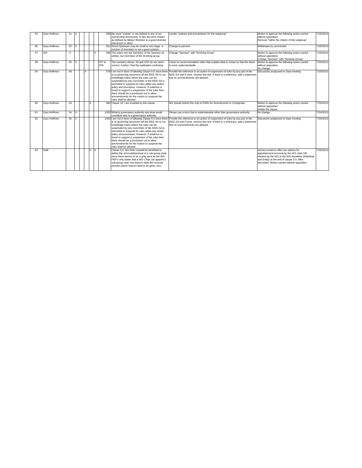| 55 | Gary Hoffman | 31 |          |   |              |   |              | 938 the word "charter" is not defined in any of our<br>overarching documents. In fact the word charter<br>as defined by Miriam Webster is a governmental<br>instrument or deed                                                                                                                                                                                                                                         | I prefer "policies and proceedures for the subgroup"                                                                                                                                                                                                          | Motion to approve the following action carried<br>without opposition:<br>Remove "within the charter of the subgroup"                                                                                                               | 7/20/2015 |
|----|--------------|----|----------|---|--------------|---|--------------|------------------------------------------------------------------------------------------------------------------------------------------------------------------------------------------------------------------------------------------------------------------------------------------------------------------------------------------------------------------------------------------------------------------------|---------------------------------------------------------------------------------------------------------------------------------------------------------------------------------------------------------------------------------------------------------------|------------------------------------------------------------------------------------------------------------------------------------------------------------------------------------------------------------------------------------|-----------|
| 56 | Gary Hoffman | 32 | X        |   |              |   |              | 951 Some Sponsors may be small or very large. A<br>number of members is not a good solution.                                                                                                                                                                                                                                                                                                                           | Change to percent.                                                                                                                                                                                                                                            | Withdrawn by commenter                                                                                                                                                                                                             | 7/20/2015 |
| 57 | <b>JPF</b>   | 5  |          |   |              | X |              | 956 The voters are not members of the Sponsor as<br>written, but members of the Working group                                                                                                                                                                                                                                                                                                                          | Change "Sponsor" with "Working Group"                                                                                                                                                                                                                         | Motion to approve the following action carried<br>without opposition:<br>Change "Sponsor" with "Working Group"                                                                                                                     | 7/20/2015 |
| 58 | Gary Hoffman | 33 | X        |   |              |   | 977 &<br>978 | The numbers shown, 50 and 10% do not seem<br>correct. Further I find the explination confusing.                                                                                                                                                                                                                                                                                                                        | I have no recommendation other than explain what is meant so that the intent<br>is more understandadle.                                                                                                                                                       | Motion to approve the following action carried<br>without opposition:<br>No change.                                                                                                                                                | 7/20/2015 |
| 59 | Gary Hoffman | 48 |          | x |              |   |              | is no governing document off the IEEE-SA to my<br>knowledge exists where the rules can be<br>suspended by any committee of the IEEE-SA is<br>permitted to suspend its rules within any written<br>policy and procedure. However, if evidence is<br>found to support a suspension of the rules then<br>there should be a proviosion not to allow<br>ammendments for the motion to suspend the<br>rules shall be allowed | 978   am not in favor of allowing Clause 6.6 since there Provide the reference to an action of suspension of rules by any part of the<br>IEEE-SA and if none, remove this text. If there is a reference, add a statement<br>that no ammendments are allowed.  | Discussion postponed to Sept meeting                                                                                                                                                                                               | 7/20/2015 |
| 60 | Gary Hoffman | 18 |          |   | $\mathsf{x}$ |   |              | 982 Clause 10: I am troubled by this clause.                                                                                                                                                                                                                                                                                                                                                                           | We should restrict this only to PARs for Amendments or Corrigenda.                                                                                                                                                                                            | Motion to approve the following action carried<br>without opposition:<br>Delete the clause.                                                                                                                                        | 7/20/2015 |
| 61 | Gary Hoffman | 34 | X        |   |              |   |              | 1003 What is governance authority and what would<br>constitute who is a governance authority                                                                                                                                                                                                                                                                                                                           | Please use a term that is understanable other than governance authority                                                                                                                                                                                       | No change                                                                                                                                                                                                                          | 7/24/2015 |
| 62 | Gary Hoffman | 36 | $\times$ |   |              |   |              | is no governing document off the IEEE-SA to my<br>knowledge exists where the rules can be<br>suspended by any committee of the IEEE-SA is<br>permitted to suspend its rules within any written<br>policy and procedure. However, if evidence is<br>found to support a suspension of the rules then<br>there should be a proviosion not to allow<br>ammendments for the motion to suspend the<br>rules shall be allowed | 1053 I am not in favor of allowing Clause 6.6 since there Provide the reference to an action of suspension of rules by any part of the<br>IEEE-SA and if none, remove this text. If there is a reference, add a statement<br>that no ammendments are allowed. | Discussion postponed to Sept meeting                                                                                                                                                                                               | 7/20/2015 |
| 63 | Staff        |    |          |   | X            | X |              | Clause 5.0: We think it would be beneficial to<br>define the removal/dismissal of a sub-group chair,<br>since there seems to be a gray area as the WG<br>P&P's only states that a WG Chair can appoint a<br>sub-group chair, but doesn't state the removal<br>process (does reason need to be given, etc).                                                                                                             |                                                                                                                                                                                                                                                               | James moved to offer two options for<br>appointement+removal by the WG chair OR<br>election by the WG in the WG baselines (Individual<br>and Entity) at the end of clause 5.0. Mike<br>seconded. Motion carried without opposition | 7/20/2015 |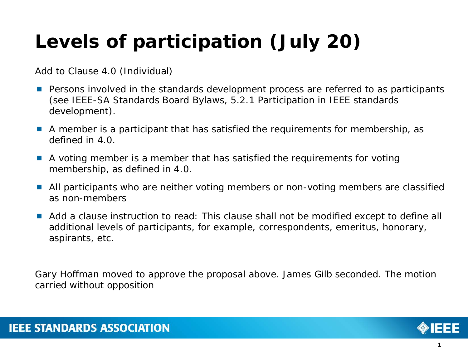# **Levels of participation (July 20)**

Add to Clause 4.0 (Individual)

- **Persons involved in the standards development process are referred to as participants** (see IEEE-SA Standards Board Bylaws, 5.2.1 Participation in IEEE standards development).
- A member is a participant that has satisfied the requirements for membership, as defined in 4.0.
- A voting member is a member that has satisfied the requirements for voting membership, as defined in 4.0.
- All participants who are neither voting members or non-voting members are classified as non-members
- Add a clause instruction to read: This clause shall not be modified except to define all additional levels of participants, for example, correspondents, emeritus, honorary, aspirants, etc.

Gary Hoffman moved to approve the proposal above. James Gilb seconded. The motion carried without opposition

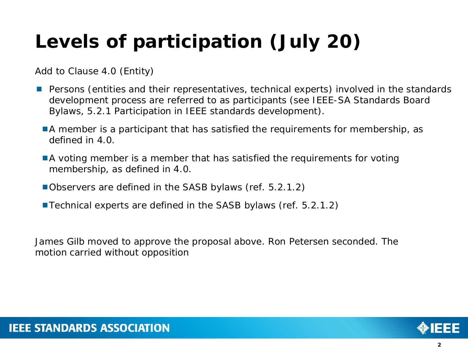# **Levels of participation (July 20)**

Add to Clause 4.0 (Entity)

- **Persons (entities and their representatives, technical experts) involved in the standards** development process are referred to as participants (see IEEE-SA Standards Board Bylaws, 5.2.1 Participation in IEEE standards development).
	- A member is a participant that has satisfied the requirements for membership, as defined in 4.0.
	- **A** voting member is a member that has satisfied the requirements for voting membership, as defined in 4.0.
	- Observers are defined in the SASB bylaws (ref. 5.2.1.2)
	- Technical experts are defined in the SASB bylaws (ref. 5.2.1.2)

James Gilb moved to approve the proposal above. Ron Petersen seconded. The motion carried without opposition

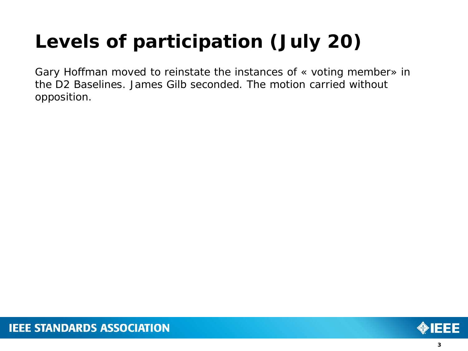# **Levels of participation (July 20)**

Gary Hoffman moved to reinstate the instances of « voting member» in the D2 Baselines. James Gilb seconded. The motion carried without opposition.

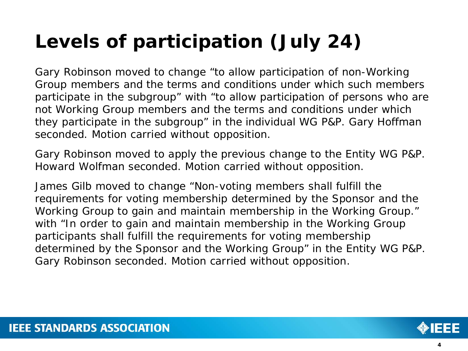# **Levels of participation (July 24)**

Gary Robinson moved to change "to allow participation of non-Working Group members and the terms and conditions under which such members participate in the subgroup" with "to allow participation of persons who are not Working Group members and the terms and conditions under which they participate in the subgroup" in the individual WG P&P. Gary Hoffman seconded. Motion carried without opposition.

Gary Robinson moved to apply the previous change to the Entity WG P&P. Howard Wolfman seconded. Motion carried without opposition.

James Gilb moved to change "Non-voting members shall fulfill the requirements for voting membership determined by the Sponsor and the Working Group to gain and maintain membership in the Working Group." with "In order to gain and maintain membership in the Working Group participants shall fulfill the requirements for voting membership determined by the Sponsor and the Working Group" in the Entity WG P&P. Gary Robinson seconded. Motion carried without opposition.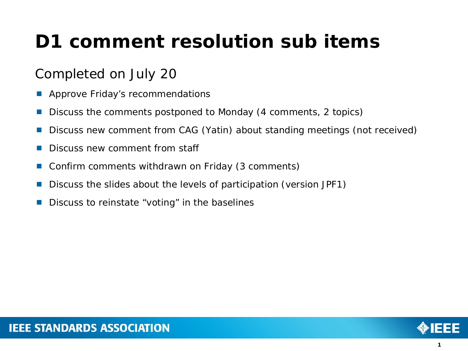# **D1 comment resolution sub items**

# Completed on July 20

- Approve Friday's recommendations
- Discuss the comments postponed to Monday (4 comments, 2 topics)
- Discuss new comment from CAG (Yatin) about standing meetings (not received)
- Discuss new comment from staff
- Confirm comments withdrawn on Friday (3 comments)
- Discuss the slides about the levels of participation (version JPF1)
- Discuss to reinstate "voting" in the baselines